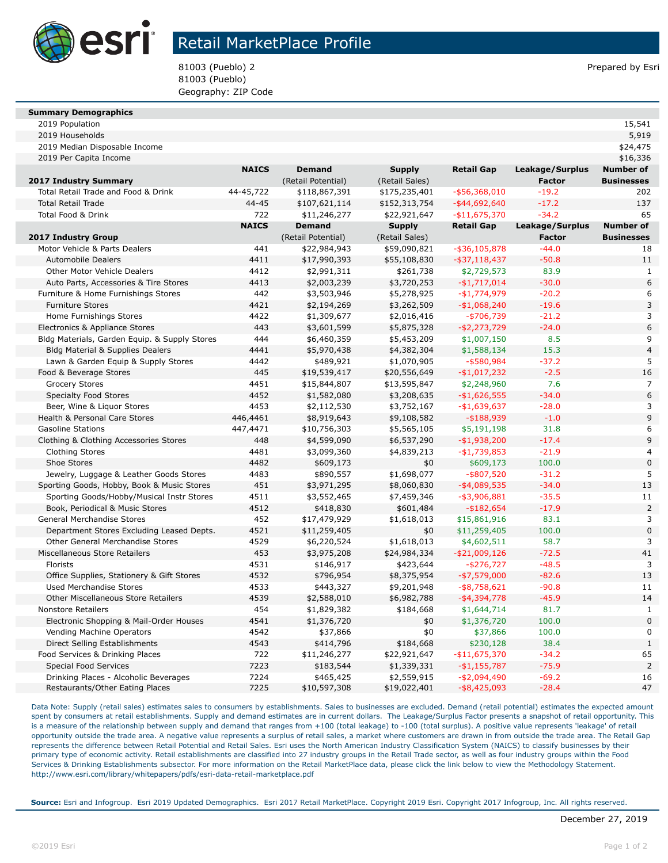

## Retail MarketPlace Profile

81003 (Pueblo) 2 Prepared by Esri 81003 (Pueblo) Geography: ZIP Code

| <b>Summary Demographics</b> |  |
|-----------------------------|--|

| 15,541 |
|--------|
|        |

| 2019 Median Disposable Income                                            |              |                           |                             |                                  |                 | \$24,475                       |
|--------------------------------------------------------------------------|--------------|---------------------------|-----------------------------|----------------------------------|-----------------|--------------------------------|
| 2019 Per Capita Income                                                   |              |                           |                             |                                  |                 | \$16,336                       |
|                                                                          | <b>NAICS</b> | <b>Demand</b>             | <b>Supply</b>               | <b>Retail Gap</b>                | Leakage/Surplus | <b>Number of</b>               |
| 2017 Industry Summary                                                    |              | (Retail Potential)        | (Retail Sales)              |                                  | <b>Factor</b>   | <b>Businesses</b>              |
| Total Retail Trade and Food & Drink                                      | 44-45,722    | \$118,867,391             | \$175,235,401               | $-$ \$56,368,010                 | $-19.2$         | 202                            |
| <b>Total Retail Trade</b>                                                | 44-45        | \$107,621,114             | \$152,313,754               | $-$ \$44,692,640                 | $-17.2$         | 137                            |
| Total Food & Drink                                                       | 722          | \$11,246,277              | \$22,921,647                | $-$11,675,370$                   | $-34.2$         | 65                             |
|                                                                          | <b>NAICS</b> | <b>Demand</b>             | <b>Supply</b>               | <b>Retail Gap</b>                | Leakage/Surplus | <b>Number of</b>               |
| 2017 Industry Group                                                      |              | (Retail Potential)        | (Retail Sales)              |                                  | <b>Factor</b>   | <b>Businesses</b>              |
| Motor Vehicle & Parts Dealers                                            | 441          | \$22,984,943              | \$59,090,821                | $-$ \$36,105,878                 | $-44.0$         | 18                             |
| <b>Automobile Dealers</b>                                                | 4411         | \$17,990,393              | \$55,108,830                | $-$ \$37,118,437                 | $-50.8$         | 11                             |
| <b>Other Motor Vehicle Dealers</b>                                       | 4412         | \$2,991,311               | \$261,738                   | \$2,729,573                      | 83.9            | $\mathbf{1}$                   |
| Auto Parts, Accessories & Tire Stores                                    | 4413         | \$2,003,239               | \$3,720,253                 | $-$1,717,014$                    | $-30.0$         | 6                              |
| Furniture & Home Furnishings Stores                                      | 442          | \$3,503,946               | \$5,278,925                 | $-$1,774,979$                    | $-20.2$         | 6                              |
| <b>Furniture Stores</b>                                                  | 4421         | \$2,194,269               | \$3,262,509                 | $-$1,068,240$                    | $-19.6$         | 3                              |
| Home Furnishings Stores                                                  | 4422         | \$1,309,677               | \$2,016,416                 | $-$ \$706,739                    | $-21.2$         | 3                              |
| Electronics & Appliance Stores                                           | 443          | \$3,601,599               | \$5,875,328                 | $-$2,273,729$                    | $-24.0$         | 6                              |
| Bldg Materials, Garden Equip. & Supply Stores                            | 444          | \$6,460,359               | \$5,453,209                 | \$1,007,150                      | 8.5             | 9                              |
| Bldg Material & Supplies Dealers                                         | 4441         | \$5,970,438               | \$4,382,304                 | \$1,588,134                      | 15.3            | 4                              |
| Lawn & Garden Equip & Supply Stores                                      | 4442         | \$489,921                 | \$1,070,905                 | $-$ \$580,984                    | $-37.2$         | 5                              |
| Food & Beverage Stores                                                   | 445          | \$19,539,417              | \$20,556,649                | $-$1,017,232$                    | $-2.5$          | 16                             |
| <b>Grocery Stores</b>                                                    | 4451         | \$15,844,807              | \$13,595,847                | \$2,248,960                      | 7.6             | $\overline{7}$                 |
| <b>Specialty Food Stores</b>                                             | 4452         | \$1,582,080               | \$3,208,635                 | $-$1,626,555$                    | $-34.0$         | 6                              |
| Beer, Wine & Liquor Stores                                               | 4453         | \$2,112,530               | \$3,752,167                 | $-$1,639,637$                    | $-28.0$         | 3                              |
| Health & Personal Care Stores                                            | 446,4461     | \$8,919,643               | \$9,108,582                 | $- $188,939$                     | $-1.0$          | 9                              |
| <b>Gasoline Stations</b>                                                 | 447,4471     | \$10,756,303              | \$5,565,105                 | \$5,191,198                      | 31.8            | 6                              |
| Clothing & Clothing Accessories Stores                                   | 448          | \$4,599,090               | \$6,537,290                 | $-$1,938,200$                    | $-17.4$         | 9                              |
| <b>Clothing Stores</b>                                                   | 4481         | \$3,099,360               | \$4,839,213                 | $-$1,739,853$                    | $-21.9$         | 4                              |
| Shoe Stores                                                              | 4482         | \$609,173                 | \$0                         | \$609,173                        | 100.0           | $\overline{0}$                 |
| Jewelry, Luggage & Leather Goods Stores                                  | 4483         | \$890,557                 | \$1,698,077                 | $-$ \$807,520                    | $-31.2$         | 5                              |
| Sporting Goods, Hobby, Book & Music Stores                               | 451          | \$3,971,295               | \$8,060,830                 | $-$ \$4,089,535                  | $-34.0$         | 13                             |
| Sporting Goods/Hobby/Musical Instr Stores                                | 4511         | \$3,552,465               | \$7,459,346                 | $-$ \$3,906,881                  | $-35.5$         | 11                             |
| Book, Periodical & Music Stores                                          | 4512         | \$418,830                 | \$601,484                   | $-$182,654$                      | $-17.9$         | $\overline{2}$                 |
| General Merchandise Stores                                               | 452          | \$17,479,929              | \$1,618,013                 | \$15,861,916                     | 83.1            | 3                              |
| Department Stores Excluding Leased Depts.                                | 4521         | \$11,259,405              | \$0                         | \$11,259,405                     | 100.0           | $\overline{0}$                 |
| Other General Merchandise Stores                                         | 4529         | \$6,220,524               | \$1,618,013                 | \$4,602,511                      | 58.7            | 3                              |
| Miscellaneous Store Retailers                                            | 453          | \$3,975,208               | \$24,984,334                | $-$ \$21,009,126                 | $-72.5$         | 41                             |
| Florists                                                                 | 4531         | \$146,917                 | \$423,644                   | $-$ \$276,727                    | $-48.5$         | 3                              |
| Office Supplies, Stationery & Gift Stores                                | 4532         | \$796,954                 | \$8,375,954                 | $-$ \$7,579,000                  | $-82.6$         | 13                             |
| <b>Used Merchandise Stores</b>                                           | 4533         | \$443,327                 | \$9,201,948                 | $-$ \$8,758,621                  | $-90.8$         | 11                             |
| <b>Other Miscellaneous Store Retailers</b>                               | 4539         | \$2,588,010               | \$6,982,788                 | $-$ \$4,394,778                  | $-45.9$         | 14                             |
| <b>Nonstore Retailers</b>                                                | 454          | \$1,829,382               | \$184,668                   | \$1,644,714                      | 81.7            | $\mathbf{1}$                   |
| Electronic Shopping & Mail-Order Houses                                  | 4541         | \$1,376,720               | \$0                         | \$1,376,720                      | 100.0           | $\overline{0}$                 |
| Vending Machine Operators                                                | 4542         | \$37,866                  | \$0                         | \$37,866                         | 100.0           | $\overline{0}$<br>$\mathbf{1}$ |
| Direct Selling Establishments                                            | 4543<br>722  | \$414,796                 | \$184,668                   | \$230,128                        | 38.4<br>$-34.2$ | 65                             |
| Food Services & Drinking Places<br>Special Food Services                 | 7223         | \$11,246,277              | \$22,921,647                | $-$11,675,370$                   | $-75.9$         | $\overline{2}$                 |
|                                                                          | 7224         | \$183,544                 | \$1,339,331                 | $-$1,155,787$                    | $-69.2$         | 16                             |
| Drinking Places - Alcoholic Beverages<br>Restaurants/Other Eating Places | 7225         | \$465,425<br>\$10,597,308 | \$2,559,915<br>\$19,022,401 | $-$2,094,490$<br>$-$ \$8,425,093 | $-28.4$         | 47                             |
|                                                                          |              |                           |                             |                                  |                 |                                |

2019 Households 5,919

Data Note: Supply (retail sales) estimates sales to consumers by establishments. Sales to businesses are excluded. Demand (retail potential) estimates the expected amount spent by consumers at retail establishments. Supply and demand estimates are in current dollars. The Leakage/Surplus Factor presents a snapshot of retail opportunity. This is a measure of the relationship between supply and demand that ranges from +100 (total leakage) to -100 (total surplus). A positive value represents 'leakage' of retail opportunity outside the trade area. A negative value represents a surplus of retail sales, a market where customers are drawn in from outside the trade area. The Retail Gap represents the difference between Retail Potential and Retail Sales. Esri uses the North American Industry Classification System (NAICS) to classify businesses by their primary type of economic activity. Retail establishments are classified into 27 industry groups in the Retail Trade sector, as well as four industry groups within the Food Services & Drinking Establishments subsector. For more information on the Retail MarketPlace data, please click the link below to view the Methodology Statement. http://www.esri.com/library/whitepapers/pdfs/esri-data-retail-marketplace.pdf

**Source:** Esri and Infogroup. Esri 2019 Updated Demographics. Esri 2017 Retail MarketPlace. Copyright 2019 Esri. Copyright 2017 Infogroup, Inc. All rights reserved.